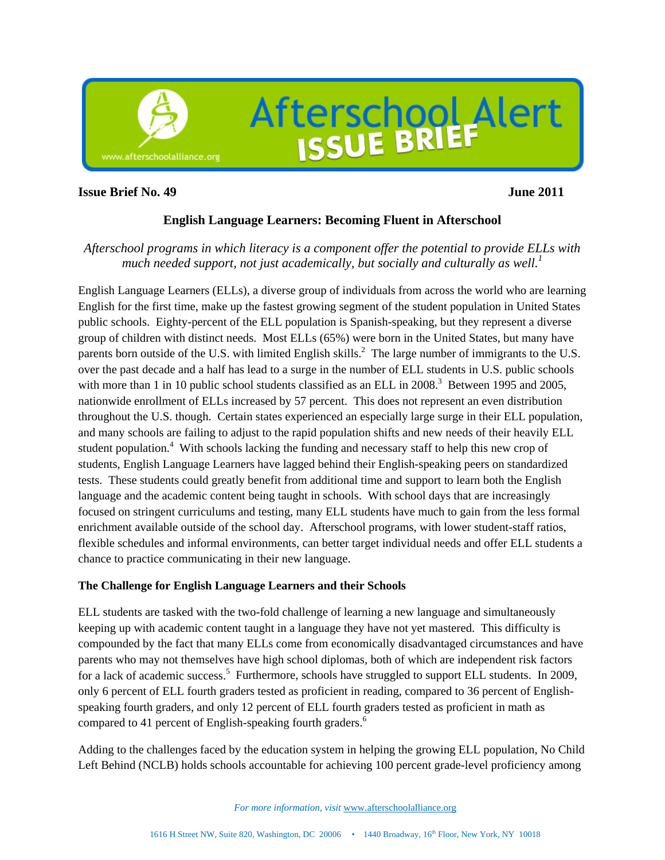

#### **Issue Brief No. 49** June 2011

# **English Language Learners: Becoming Fluent in Afterschool**

# *Afterschool programs in which literacy is a component offer the potential to provide ELLs with much needed support, not just academically, but socially and culturally as well.*<sup>1</sup>

English Language Learners (ELLs), a diverse group of individuals from across the world who are learning English for the first time, make up the fastest growing segment of the student population in United States public schools. Eighty-percent of the ELL population is Spanish-speaking, but they represent a diverse group of children with distinct needs. Most ELLs (65%) were born in the United States, but many have parents born outside of the U.S. with limited English skills.<sup>2</sup> The large number of immigrants to the U.S. over the past decade and a half has lead to a surge in the number of ELL students in U.S. public schools with more than 1 in 10 public school students classified as an ELL in  $2008$ <sup>3</sup> Between 1995 and 2005, nationwide enrollment of ELLs increased by 57 percent. This does not represent an even distribution throughout the U.S. though. Certain states experienced an especially large surge in their ELL population, and many schools are failing to adjust to the rapid population shifts and new needs of their heavily ELL student population.<sup>4</sup> With schools lacking the funding and necessary staff to help this new crop of students, English Language Learners have lagged behind their English-speaking peers on standardized tests. These students could greatly benefit from additional time and support to learn both the English language and the academic content being taught in schools. With school days that are increasingly focused on stringent curriculums and testing, many ELL students have much to gain from the less formal enrichment available outside of the school day. Afterschool programs, with lower student-staff ratios, flexible schedules and informal environments, can better target individual needs and offer ELL students a chance to practice communicating in their new language.

# **The Challenge for English Language Learners and their Schools**

ELL students are tasked with the two-fold challenge of learning a new language and simultaneously keeping up with academic content taught in a language they have not yet mastered. This difficulty is compounded by the fact that many ELLs come from economically disadvantaged circumstances and have parents who may not themselves have high school diplomas, both of which are independent risk factors for a lack of academic success.<sup>5</sup> Furthermore, schools have struggled to support ELL students. In 2009, only 6 percent of ELL fourth graders tested as proficient in reading, compared to 36 percent of Englishspeaking fourth graders, and only 12 percent of ELL fourth graders tested as proficient in math as compared to 41 percent of English-speaking fourth graders.<sup>6</sup>

Adding to the challenges faced by the education system in helping the growing ELL population, No Child Left Behind (NCLB) holds schools accountable for achieving 100 percent grade-level proficiency among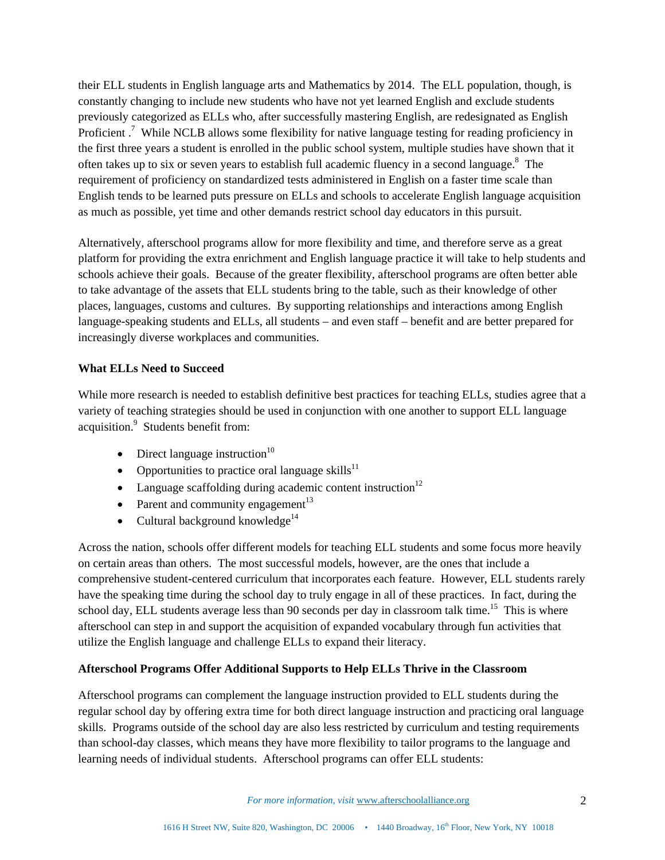their ELL students in English language arts and Mathematics by 2014. The ELL population, though, is constantly changing to include new students who have not yet learned English and exclude students previously categorized as ELLs who, after successfully mastering English, are redesignated as English Proficient.<sup>7</sup> While NCLB allows some flexibility for native language testing for reading proficiency in the first three years a student is enrolled in the public school system, multiple studies have shown that it often takes up to six or seven years to establish full academic fluency in a second language.<sup>8</sup> The requirement of proficiency on standardized tests administered in English on a faster time scale than English tends to be learned puts pressure on ELLs and schools to accelerate English language acquisition as much as possible, yet time and other demands restrict school day educators in this pursuit.

Alternatively, afterschool programs allow for more flexibility and time, and therefore serve as a great platform for providing the extra enrichment and English language practice it will take to help students and schools achieve their goals. Because of the greater flexibility, afterschool programs are often better able to take advantage of the assets that ELL students bring to the table, such as their knowledge of other places, languages, customs and cultures. By supporting relationships and interactions among English language-speaking students and ELLs, all students – and even staff – benefit and are better prepared for increasingly diverse workplaces and communities.

# **What ELLs Need to Succeed**

While more research is needed to establish definitive best practices for teaching ELLs, studies agree that a variety of teaching strategies should be used in conjunction with one another to support ELL language acquisition.<sup>9</sup> Students benefit from:

- Direct language instruction $10$
- Opportunities to practice oral language skills $^{11}$
- Language scaffolding during academic content instruction<sup>12</sup>
- Parent and community engagement $13$
- Cultural background knowledge $14$

Across the nation, schools offer different models for teaching ELL students and some focus more heavily on certain areas than others. The most successful models, however, are the ones that include a comprehensive student-centered curriculum that incorporates each feature. However, ELL students rarely have the speaking time during the school day to truly engage in all of these practices. In fact, during the school day, ELL students average less than 90 seconds per day in classroom talk time.<sup>15</sup> This is where afterschool can step in and support the acquisition of expanded vocabulary through fun activities that utilize the English language and challenge ELLs to expand their literacy.

# **Afterschool Programs Offer Additional Supports to Help ELLs Thrive in the Classroom**

Afterschool programs can complement the language instruction provided to ELL students during the regular school day by offering extra time for both direct language instruction and practicing oral language skills. Programs outside of the school day are also less restricted by curriculum and testing requirements than school-day classes, which means they have more flexibility to tailor programs to the language and learning needs of individual students. Afterschool programs can offer ELL students:

*For more information, visit www.afterschoolalliance.org* 2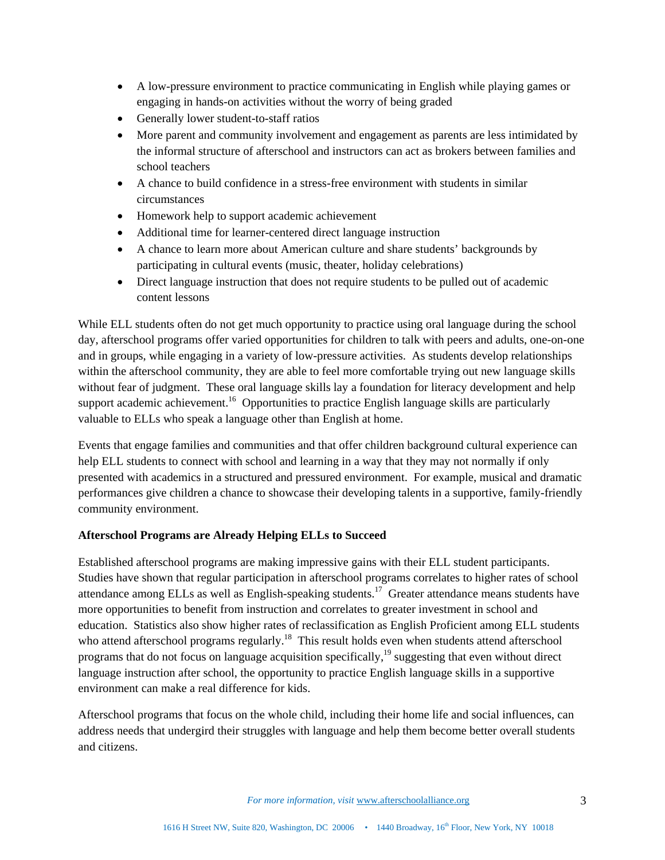- A low-pressure environment to practice communicating in English while playing games or engaging in hands-on activities without the worry of being graded
- Generally lower student-to-staff ratios
- More parent and community involvement and engagement as parents are less intimidated by the informal structure of afterschool and instructors can act as brokers between families and school teachers
- A chance to build confidence in a stress-free environment with students in similar circumstances
- Homework help to support academic achievement
- Additional time for learner-centered direct language instruction
- A chance to learn more about American culture and share students' backgrounds by participating in cultural events (music, theater, holiday celebrations)
- Direct language instruction that does not require students to be pulled out of academic content lessons

While ELL students often do not get much opportunity to practice using oral language during the school day, afterschool programs offer varied opportunities for children to talk with peers and adults, one-on-one and in groups, while engaging in a variety of low-pressure activities. As students develop relationships within the afterschool community, they are able to feel more comfortable trying out new language skills without fear of judgment. These oral language skills lay a foundation for literacy development and help support academic achievement.<sup>16</sup> Opportunities to practice English language skills are particularly valuable to ELLs who speak a language other than English at home.

Events that engage families and communities and that offer children background cultural experience can help ELL students to connect with school and learning in a way that they may not normally if only presented with academics in a structured and pressured environment. For example, musical and dramatic performances give children a chance to showcase their developing talents in a supportive, family-friendly community environment.

# **Afterschool Programs are Already Helping ELLs to Succeed**

Established afterschool programs are making impressive gains with their ELL student participants. Studies have shown that regular participation in afterschool programs correlates to higher rates of school attendance among ELLs as well as English-speaking students.<sup>17</sup> Greater attendance means students have more opportunities to benefit from instruction and correlates to greater investment in school and education. Statistics also show higher rates of reclassification as English Proficient among ELL students who attend afterschool programs regularly.<sup>18</sup> This result holds even when students attend afterschool programs that do not focus on language acquisition specifically, $19$  suggesting that even without direct language instruction after school, the opportunity to practice English language skills in a supportive environment can make a real difference for kids.

Afterschool programs that focus on the whole child, including their home life and social influences, can address needs that undergird their struggles with language and help them become better overall students and citizens.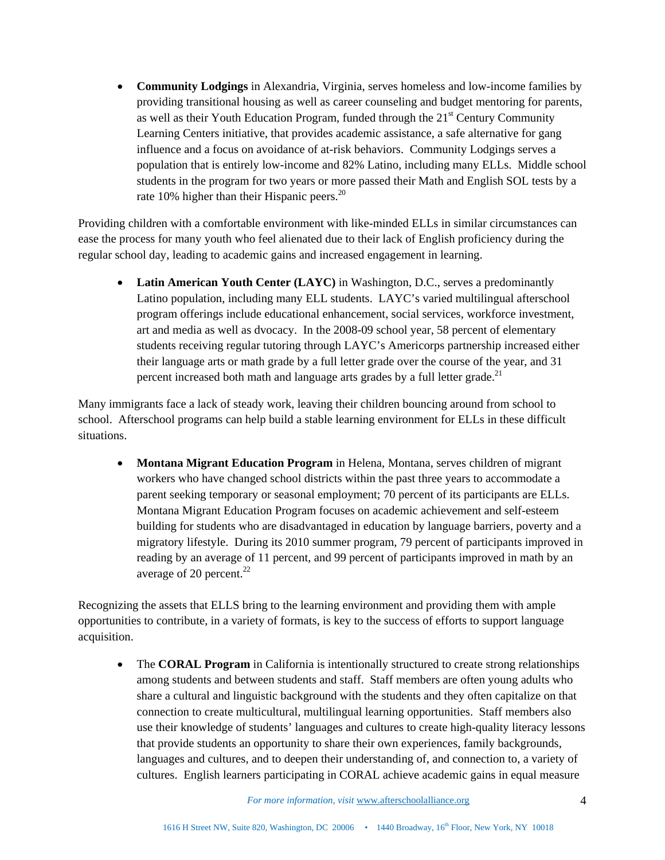**Community Lodgings** in Alexandria, Virginia, serves homeless and low-income families by providing transitional housing as well as career counseling and budget mentoring for parents, as well as their Youth Education Program, funded through the  $21<sup>st</sup>$  Century Community Learning Centers initiative, that provides academic assistance, a safe alternative for gang influence and a focus on avoidance of at-risk behaviors. Community Lodgings serves a population that is entirely low-income and 82% Latino, including many ELLs. Middle school students in the program for two years or more passed their Math and English SOL tests by a rate 10% higher than their Hispanic peers.<sup>20</sup>

Providing children with a comfortable environment with like-minded ELLs in similar circumstances can ease the process for many youth who feel alienated due to their lack of English proficiency during the regular school day, leading to academic gains and increased engagement in learning.

• Latin American Youth Center (LAYC) in Washington, D.C., serves a predominantly Latino population, including many ELL students. LAYC's varied multilingual afterschool program offerings include educational enhancement, social services, workforce investment, art and media as well as dvocacy. In the 2008-09 school year, 58 percent of elementary students receiving regular tutoring through LAYC's Americorps partnership increased either their language arts or math grade by a full letter grade over the course of the year, and 31 percent increased both math and language arts grades by a full letter grade.<sup>21</sup>

Many immigrants face a lack of steady work, leaving their children bouncing around from school to school. Afterschool programs can help build a stable learning environment for ELLs in these difficult situations.

 **Montana Migrant Education Program** in Helena, Montana, serves children of migrant workers who have changed school districts within the past three years to accommodate a parent seeking temporary or seasonal employment; 70 percent of its participants are ELLs. Montana Migrant Education Program focuses on academic achievement and self-esteem building for students who are disadvantaged in education by language barriers, poverty and a migratory lifestyle. During its 2010 summer program, 79 percent of participants improved in reading by an average of 11 percent, and 99 percent of participants improved in math by an average of 20 percent. $^{22}$ 

Recognizing the assets that ELLS bring to the learning environment and providing them with ample opportunities to contribute, in a variety of formats, is key to the success of efforts to support language acquisition.

• The **CORAL Program** in California is intentionally structured to create strong relationships among students and between students and staff. Staff members are often young adults who share a cultural and linguistic background with the students and they often capitalize on that connection to create multicultural, multilingual learning opportunities. Staff members also use their knowledge of students' languages and cultures to create high-quality literacy lessons that provide students an opportunity to share their own experiences, family backgrounds, languages and cultures, and to deepen their understanding of, and connection to, a variety of cultures. English learners participating in CORAL achieve academic gains in equal measure

*For more information, visit* www.afterschoolalliance.org 4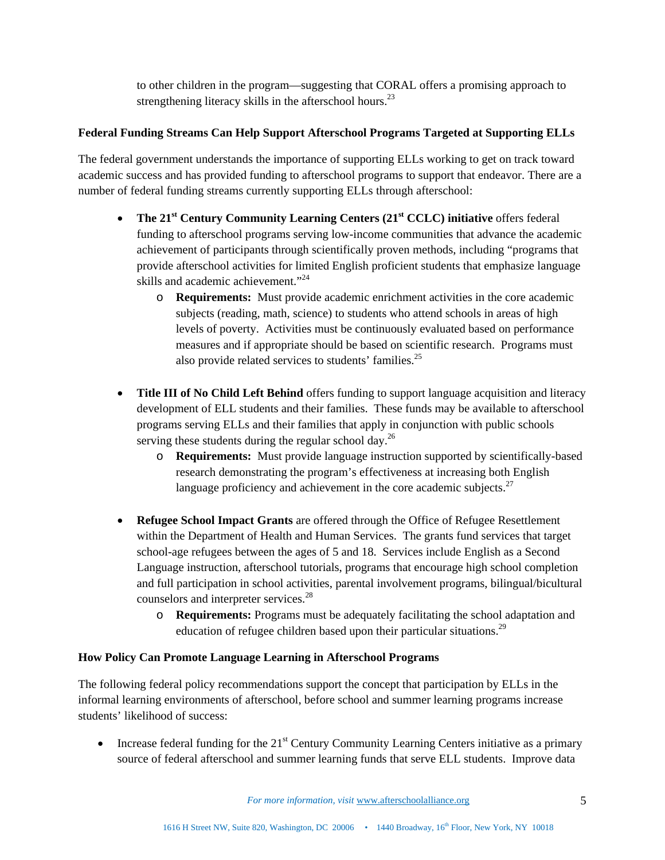to other children in the program—suggesting that CORAL offers a promising approach to strengthening literacy skills in the afterschool hours.<sup>23</sup>

#### **Federal Funding Streams Can Help Support Afterschool Programs Targeted at Supporting ELLs**

The federal government understands the importance of supporting ELLs working to get on track toward academic success and has provided funding to afterschool programs to support that endeavor. There are a number of federal funding streams currently supporting ELLs through afterschool:

- The 21<sup>st</sup> Century Community Learning Centers (21<sup>st</sup> CCLC) initiative offers federal funding to afterschool programs serving low-income communities that advance the academic achievement of participants through scientifically proven methods, including "programs that provide afterschool activities for limited English proficient students that emphasize language skills and academic achievement."<sup>24</sup>
	- o **Requirements:** Must provide academic enrichment activities in the core academic subjects (reading, math, science) to students who attend schools in areas of high levels of poverty. Activities must be continuously evaluated based on performance measures and if appropriate should be based on scientific research. Programs must also provide related services to students' families.<sup>25</sup>
- **Title III of No Child Left Behind** offers funding to support language acquisition and literacy development of ELL students and their families. These funds may be available to afterschool programs serving ELLs and their families that apply in conjunction with public schools serving these students during the regular school day.<sup>26</sup>
	- o **Requirements:** Must provide language instruction supported by scientifically-based research demonstrating the program's effectiveness at increasing both English language proficiency and achievement in the core academic subjects. $27$
- **Refugee School Impact Grants** are offered through the Office of Refugee Resettlement within the Department of Health and Human Services. The grants fund services that target school-age refugees between the ages of 5 and 18. Services include English as a Second Language instruction, afterschool tutorials, programs that encourage high school completion and full participation in school activities, parental involvement programs, bilingual/bicultural counselors and interpreter services.<sup>28</sup>
	- o **Requirements:** Programs must be adequately facilitating the school adaptation and education of refugee children based upon their particular situations.<sup>29</sup>

# **How Policy Can Promote Language Learning in Afterschool Programs**

The following federal policy recommendations support the concept that participation by ELLs in the informal learning environments of afterschool, before school and summer learning programs increase students' likelihood of success:

• Increase federal funding for the  $21<sup>st</sup>$  Century Community Learning Centers initiative as a primary source of federal afterschool and summer learning funds that serve ELL students. Improve data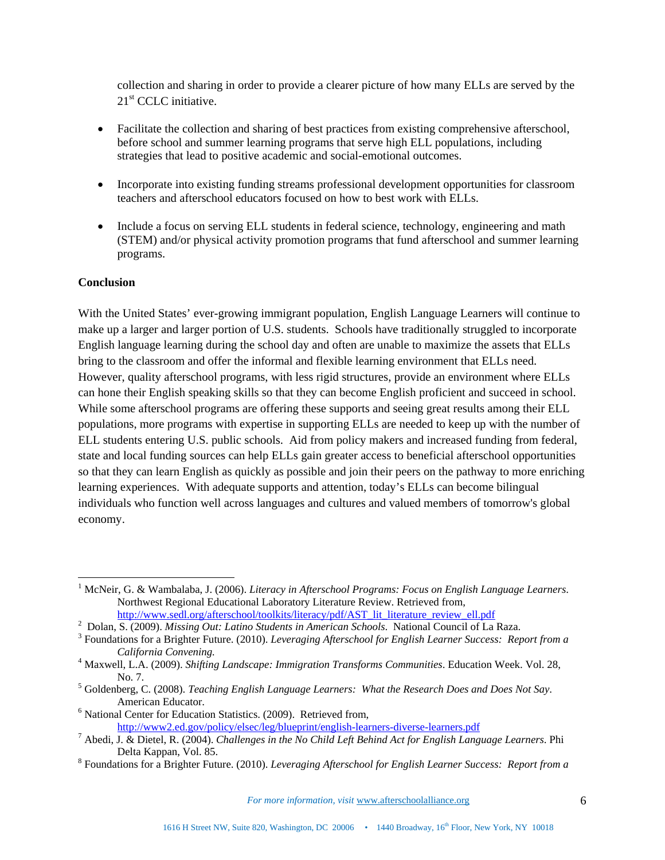collection and sharing in order to provide a clearer picture of how many ELLs are served by the  $21<sup>st</sup>$  CCLC initiative.

- Facilitate the collection and sharing of best practices from existing comprehensive afterschool, before school and summer learning programs that serve high ELL populations, including strategies that lead to positive academic and social-emotional outcomes.
- Incorporate into existing funding streams professional development opportunities for classroom teachers and afterschool educators focused on how to best work with ELLs.
- Include a focus on serving ELL students in federal science, technology, engineering and math (STEM) and/or physical activity promotion programs that fund afterschool and summer learning programs.

#### **Conclusion**

l

With the United States' ever-growing immigrant population, English Language Learners will continue to make up a larger and larger portion of U.S. students. Schools have traditionally struggled to incorporate English language learning during the school day and often are unable to maximize the assets that ELLs bring to the classroom and offer the informal and flexible learning environment that ELLs need. However, quality afterschool programs, with less rigid structures, provide an environment where ELLs can hone their English speaking skills so that they can become English proficient and succeed in school. While some afterschool programs are offering these supports and seeing great results among their ELL populations, more programs with expertise in supporting ELLs are needed to keep up with the number of ELL students entering U.S. public schools. Aid from policy makers and increased funding from federal, state and local funding sources can help ELLs gain greater access to beneficial afterschool opportunities so that they can learn English as quickly as possible and join their peers on the pathway to more enriching learning experiences. With adequate supports and attention, today's ELLs can become bilingual individuals who function well across languages and cultures and valued members of tomorrow's global economy.

<sup>&</sup>lt;sup>1</sup> McNeir, G. & Wambalaba, J. (2006). *Literacy in Afterschool Programs: Focus on English Language Learners*. Northwest Regional Educational Laboratory Literature Review. Retrieved from, http://www.sedl.org/afterschool/toolkits/literacy/pdf/AST\_lit\_literature\_review\_ell.pdf

<sup>&</sup>lt;sup>2</sup> Dolan, S. (2009). *Missing Out: Latino Students in American Schools*. National Council of La Raza.

Foundations for a Brighter Future. (2010). *Leveraging Afterschool for English Learner Success: Report from a* 

*California Convening.* <sup>4</sup> Maxwell, L.A. (2009). *Shifting Landscape: Immigration Transforms Communities*. Education Week. Vol. 28,

No. 7. 5 Goldenberg, C. (2008). *Teaching English Language Learners: What the Research Does and Does Not Say*. American Educator.<br><sup>6</sup> National Center for Education Statistics. (2009). Retrieved from,

http://www2.ed.gov/policy/elsec/leg/blueprint/english-learners-diverse-learners.pdf 7

<sup>&</sup>lt;sup>7</sup> Abedi, J. & Dietel, R. (2004). *Challenges in the No Child Left Behind Act for English Language Learners*. Phi Delta Kappan, Vol. 85.

Foundations for a Brighter Future. (2010). *Leveraging Afterschool for English Learner Success: Report from a*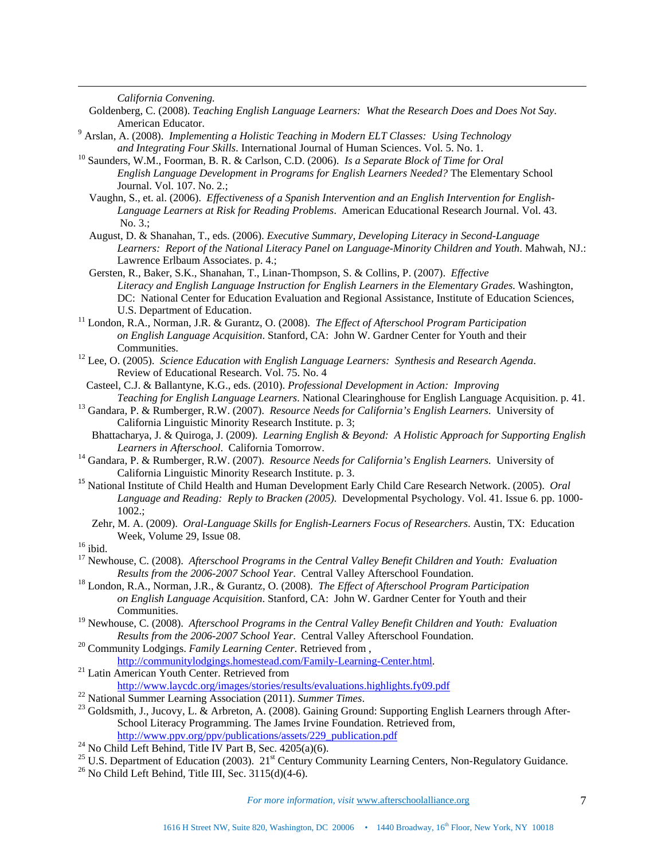*California Convening.*

l

- Goldenberg, C. (2008). *Teaching English Language Learners: What the Research Does and Does Not Say*.
- American Educator. 9 Arslan, A. (2008). *Implementing a Holistic Teaching in Modern ELT Classes: Using Technology and Integrating Four Skills*. International Journal of Human Sciences. Vol. 5. No. 1. 10 Saunders, W.M., Foorman, B. R. & Carlson, C.D. (2006). *Is a Separate Block of Time for Oral*
- *English Language Development in Programs for English Learners Needed?* The Elementary School Journal. Vol. 107. No. 2.;
	- Vaughn, S., et. al. (2006). *Effectiveness of a Spanish Intervention and an English Intervention for English-Language Learners at Risk for Reading Problems*. American Educational Research Journal. Vol. 43. No. 3.;
- August, D. & Shanahan, T., eds. (2006). *Executive Summary, Developing Literacy in Second-Language Learners: Report of the National Literacy Panel on Language-Minority Children and Youth*. Mahwah, NJ.: Lawrence Erlbaum Associates. p. 4.;
- Gersten, R., Baker, S.K., Shanahan, T., Linan-Thompson, S. & Collins, P. (2007). *Effective Literacy and English Language Instruction for English Learners in the Elementary Grades*. Washington, DC: National Center for Education Evaluation and Regional Assistance, Institute of Education Sciences, U.S. Department of Education.
- <sup>11</sup> London, R.A., Norman, J.R. & Gurantz, O. (2008). *The Effect of Afterschool Program Participation on English Language Acquisition*. Stanford, CA: John W. Gardner Center for Youth and their Communities. 12 Lee, O. (2005). *Science Education with English Language Learners: Synthesis and Research Agenda*.
- Review of Educational Research. Vol. 75. No. 4
- Casteel, C.J. & Ballantyne, K.G., eds. (2010). *Professional Development in Action: Improving*
- *Teaching for English Language Learners*. National Clearinghouse for English Language Acquisition. p. 41. 13 Gandara, P. & Rumberger, R.W. (2007). *Resource Needs for California's English Learners*. University of California Linguistic Minority Research Institute. p. 3;
- Bhattacharya, J. & Quiroga, J. (2009). *Learning English & Beyond: A Holistic Approach for Supporting English Learners in Afterschool*. California Tomorrow. 14 Gandara, P. & Rumberger, R.W. (2007). *Resource Needs for California's English Learners*. University of
- California Linguistic Minority Research Institute. p. 3.
- <sup>15</sup> National Institute of Child Health and Human Development Early Child Care Research Network. (2005). *Oral Language and Reading: Reply to Bracken (2005)*. Developmental Psychology. Vol. 41. Issue 6. pp. 1000- 1002.;
- Zehr, M. A. (2009). *Oral-Language Skills for English-Learners Focus of Researchers*. Austin, TX: Education Week, Volume 29, Issue 08.<br><sup>16</sup> ibid.

- 17 Newhouse, C. (2008). *Afterschool Programs in the Central Valley Benefit Children and Youth: Evaluation Results from the 2006-2007 School Year*. Central Valley Afterschool Foundation. 18 London, R.A., Norman, J.R., & Gurantz, O. (2008). *The Effect of Afterschool Program Participation*
- *on English Language Acquisition*. Stanford, CA: John W. Gardner Center for Youth and their Communities.
- 19 Newhouse, C. (2008). *Afterschool Programs in the Central Valley Benefit Children and Youth: Evaluation Results from the 2006-2007 School Year*. Central Valley Afterschool Foundation. 20 Community Lodgings. *Family Learning Center*. Retrieved from ,
- http://communitylodgings.homestead.com/Family-Learning-Center.html. 21 Latin American Youth Center. Retrieved from
- 

- 
- http://www.laycdc.org/images/stories/results/evaluations.highlights.fy09.pdf<br>
<sup>22</sup> National Summer Learning Association (2011). Summer Times.<br>
<sup>23</sup> Goldsmith, J., Jucovy, L. & Arbreton, A. (2008). Gaining Ground: Supportin School Literacy Programming. The James Irvine Foundation. Retrieved from, http://www.ppv.org/ppv/publications/assets/229 publication.pdf
- <sup>24</sup> No Child Left Behind, Title IV Part B, Sec.  $4205(a)(6)$ .
- <sup>25</sup> U.S. Department of Education (2003). 21<sup>st</sup> Century Community Learning Centers, Non-Regulatory Guidance. <sup>26</sup> No Child Left Behind, Title III, Sec. 3115(d)(4-6).
-